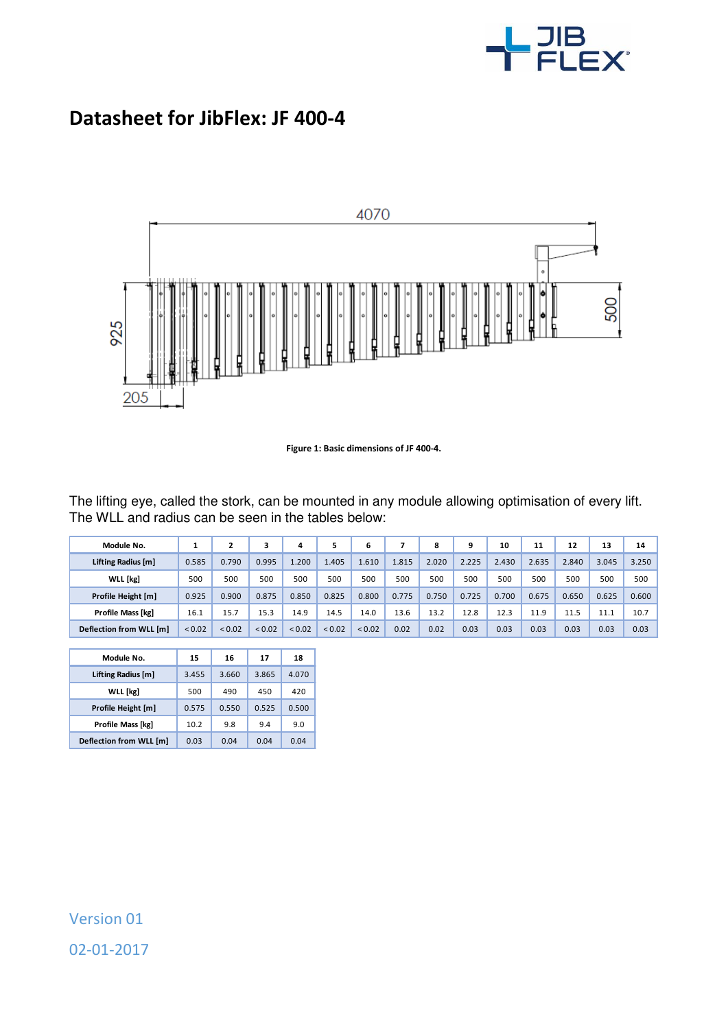

## **Datasheet for JibFlex: JF 400-4**



**Figure 1: Basic dimensions of JF 400-4.** 

The lifting eye, called the stork, can be mounted in any module allowing optimisation of every lift. The WLL and radius can be seen in the tables below:

| Module No.              |        |        |             | 4           |             | 6      |       | 8     | 9     | 10    | 11    | 12    | 13    | 14    |
|-------------------------|--------|--------|-------------|-------------|-------------|--------|-------|-------|-------|-------|-------|-------|-------|-------|
| Lifting Radius [m]      | 0.585  | 0.790  | 0.995       | .200        | 1.405       | 1.610  | 1.815 | 2.020 | 2.225 | 2.430 | 2.635 | 2.840 | 3.045 | 3.250 |
| <b>WLL</b> [kg]         | 500    | 500    | 500         | 500         | 500         | 500    | 500   | 500   | 500   | 500   | 500   | 500   | 500   | 500   |
| Profile Height [m]      | 0.925  | 0.900  | 0.875       | 0.850       | 0.825       | 0.800  | 0.775 | 0.750 | 0.725 | 0.700 | 0.675 | 0.650 | 0.625 | 0.600 |
| Profile Mass [kg]       | 16.1   | 15.7   | 15.3        | 14.9        | 14.5        | 14.0   | 13.6  | 13.2  | 12.8  | 12.3  | 11.9  | 11.5  | 11.1  | 10.7  |
| Deflection from WLL [m] | < 0.02 | < 0.02 | ${}_{0.02}$ | ${}_{0.02}$ | ${}_{0.02}$ | < 0.02 | 0.02  | 0.02  | 0.03  | 0.03  | 0.03  | 0.03  | 0.03  | 0.03  |

l

| Module No.               | 15    | 16    | 17    | 18    |
|--------------------------|-------|-------|-------|-------|
| Lifting Radius [m]       | 3.455 | 3.660 | 3.865 | 4.070 |
| <b>WLL</b> [kg]          | 500   | 490   | 450   | 420   |
| Profile Height [m]       | 0.575 | 0.550 | 0.525 | 0.500 |
| <b>Profile Mass [kg]</b> | 10.2  | 9.8   | 9.4   | 9.0   |
| Deflection from WLL [m]  | 0.03  | 0.04  | 0.04  | 0.04  |